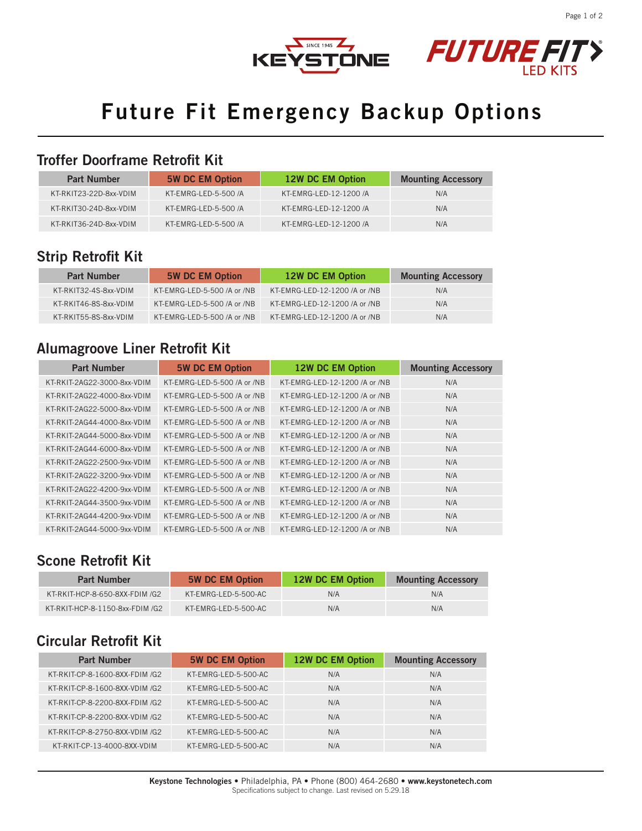





# **Future Fit Emergency Backup Options**

#### **Troffer Doorframe Retrofit Kit**

| <b>Part Number</b>     | <b>5W DC EM Option</b> | 12W DC EM Option       | <b>Mounting Accessory</b> |
|------------------------|------------------------|------------------------|---------------------------|
| KT-RKIT23-22D-8xx-VDIM | KT-EMRG-LED-5-500 /A   | KT-EMRG-LED-12-1200 /A | N/A                       |
| KT-RKIT30-24D-8xx-VDIM | KT-EMRG-LED-5-500 /A   | KT-EMRG-LED-12-1200 /A | N/A                       |
| KT-RKIT36-24D-8xx-VDIM | KT-EMRG-LED-5-500 /A   | KT-EMRG-LED-12-1200 /A | N/A                       |

### **Strip Retrofit Kit**

| <b>Part Number</b>    | <b>5W DC EM Option</b>      | 12W DC EM Option              | <b>Mounting Accessory</b> |
|-----------------------|-----------------------------|-------------------------------|---------------------------|
| KT-RKIT32-4S-8xx-VDIM | KT-EMRG-LED-5-500 /A or /NB | KT-EMRG-LED-12-1200 /A or /NB | N/A                       |
| KT-RKIT46-8S-8xx-VDIM | KT-EMRG-LED-5-500 /A or /NB | KT-EMRG-LED-12-1200 /A or /NB | N/A                       |
| KT-RKIT55-8S-8xx-VDIM | KT-EMRG-LED-5-500 /A or /NB | KT-EMRG-LED-12-1200 /A or /NB | N/A                       |

### **Alumagroove Liner Retrofit Kit**

| <b>Part Number</b>          | <b>5W DC EM Option</b>      | 12W DC EM Option              | <b>Mounting Accessory</b> |
|-----------------------------|-----------------------------|-------------------------------|---------------------------|
| KT-RKIT-2AG22-3000-8xx-VDIM | KT-EMRG-LED-5-500 /A or /NB | KT-EMRG-LED-12-1200 /A or /NB | N/A                       |
| KT-RKIT-2AG22-4000-8xx-VDIM | KT-EMRG-LED-5-500 /A or /NB | KT-EMRG-LED-12-1200 /A or /NB | N/A                       |
| KT-RKIT-2AG22-5000-8xx-VDIM | KT-EMRG-LED-5-500 /A or /NB | KT-EMRG-LED-12-1200 /A or /NB | N/A                       |
| KT-RKIT-2AG44-4000-8xx-VDIM | KT-EMRG-LED-5-500 /A or /NB | KT-EMRG-LED-12-1200 /A or /NB | N/A                       |
| KT-RKIT-2AG44-5000-8xx-VDIM | KT-EMRG-LED-5-500 /A or /NB | KT-EMRG-LED-12-1200 /A or /NB | N/A                       |
| KT-RKIT-2AG44-6000-8xx-VDIM | KT-EMRG-LED-5-500 /A or /NB | KT-EMRG-LED-12-1200 /A or /NB | N/A                       |
| KT-RKIT-2AG22-2500-9xx-VDIM | KT-EMRG-LED-5-500 /A or /NB | KT-EMRG-LED-12-1200 /A or /NB | N/A                       |
| KT-RKIT-2AG22-3200-9xx-VDIM | KT-EMRG-LED-5-500 /A or /NB | KT-EMRG-LED-12-1200 /A or /NB | N/A                       |
| KT-RKIT-2AG22-4200-9xx-VDIM | KT-EMRG-LED-5-500 /A or /NB | KT-EMRG-LED-12-1200 /A or /NB | N/A                       |
| KT-RKIT-2AG44-3500-9xx-VDIM | KT-EMRG-LED-5-500 /A or /NB | KT-EMRG-LED-12-1200 /A or /NB | N/A                       |
| KT-RKIT-2AG44-4200-9xx-VDIM | KT-EMRG-LED-5-500 /A or /NB | KT-EMRG-LED-12-1200 /A or /NB | N/A                       |
| KT-RKIT-2AG44-5000-9xx-VDIM | KT-EMRG-LED-5-500 /A or /NB | KT-EMRG-LED-12-1200 /A or /NB | N/A                       |

#### **Scone Retrofit Kit**

| <b>Part Number</b>              | <b>5W DC EM Option</b> | 12W DC EM Option | <b>Mounting Accessory</b> |
|---------------------------------|------------------------|------------------|---------------------------|
| KT-RKIT-HCP-8-650-8XX-FDIM /G2  | KT-EMRG-LED-5-500-AC   | N/A              | N/A                       |
| KT-RKIT-HCP-8-1150-8xx-FDIM /G2 | KT-EMRG-LED-5-500-AC   | N/A              | N/A                       |

#### **Circular Retrofit Kit**

| <b>Part Number</b>             | <b>5W DC EM Option</b> | 12W DC EM Option | <b>Mounting Accessory</b> |
|--------------------------------|------------------------|------------------|---------------------------|
| KT-RKIT-CP-8-1600-8XX-FDIM /G2 | KT-EMRG-LED-5-500-AC   | N/A              | N/A                       |
| KT-RKIT-CP-8-1600-8XX-VDIM /G2 | KT-EMRG-LED-5-500-AC   | N/A              | N/A                       |
| KT-RKIT-CP-8-2200-8XX-FDIM /G2 | KT-EMRG-LED-5-500-AC   | N/A              | N/A                       |
| KT-RKIT-CP-8-2200-8XX-VDIM /G2 | KT-EMRG-LED-5-500-AC   | N/A              | N/A                       |
| KT-RKIT-CP-8-2750-8XX-VDIM /G2 | KT-EMRG-LED-5-500-AC   | N/A              | N/A                       |
| KT-RKIT-CP-13-4000-8XX-VDIM    | KT-EMRG-LED-5-500-AC   | N/A              | N/A                       |